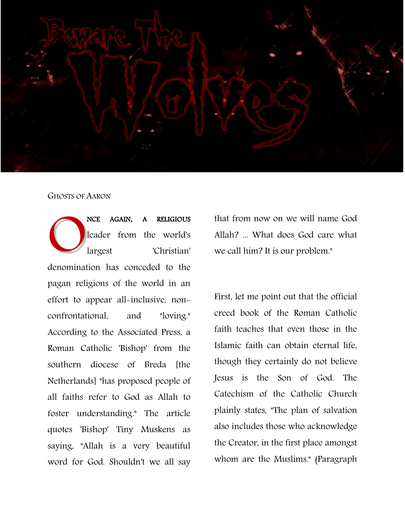

## GHOSTS OF AARON

NCE AGAIN, A RELIGIOUS leader from the world's largest 'Christian' NE AGAIN, A RELIGIOUS<br>
leader from the world's<br>
largest 'Christian'<br>
denomination has conceded to the pagan religions of the world in an effort to appear all-inclusive, nonconfrontational, and "loving." According to the Associated Press, a Roman Catholic 'Bishop' from the southern diocese of Breda [the Netherlands] "has proposed people of all faiths refer to God as Allah to foster understanding." The article quotes 'Bishop' Tiny Muskens as saying, "Allah is a very beautiful word for God. Shouldn't we all say

that from now on we will name God Allah? ... What does God care what we call him? It is our problem."

First, let me point out that the official creed book of the Roman Catholic faith teaches that even those in the Islamic faith can obtain eternal life, though they certainly do not believe Jesus is the Son of God. The Catechism of the Catholic Church plainly states, "The plan of salvation also includes those who acknowledge the Creator, in the first place amongst whom are the Muslims." (Paragraph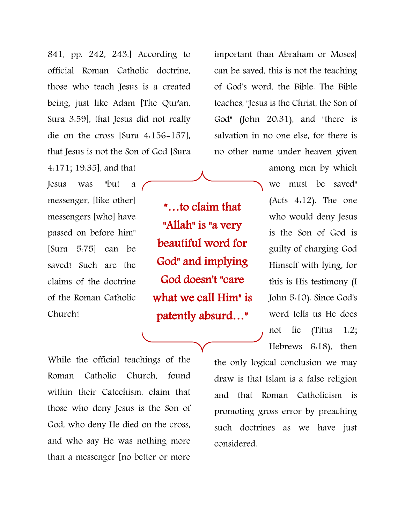841, pp. 242, 243.] According to official Roman Catholic doctrine, those who teach Jesus is a created being, just like Adam [The Qur'an, Sura 3:59], that Jesus did not really die on the cross [Sura 4:156-157], that Jesus is not the Son of God [Sura

4:171; 19:35], and that Jesus was "but a messenger, [like other] messengers [who] have passed on before him" [Sura 5:75] can be saved! Such are the claims of the doctrine of the Roman Catholic Church!

"…to claim that "Allah" is "a very beautiful word for God" and implying God doesn't "care what we call Him" is patently absurd…"

important than Abraham or Moses] can be saved, this is not the teaching of God's word, the Bible. The Bible teaches, "Jesus is the Christ, the Son of God" (John 20:31), and "there is salvation in no one else, for there is no other name under heaven given

> among men by which we must be saved" (Acts 4:12). The one who would deny Jesus is the Son of God is guilty of charging God Himself with lying, for this is His testimony (I John 5:10). Since God's word tells us He does not lie (Titus 1:2; Hebrews 6:18), then

While the official teachings of the Roman Catholic Church, found within their Catechism, claim that those who deny Jesus is the Son of God, who deny He died on the cross, and who say He was nothing more than a messenger [no better or more the only logical conclusion we may draw is that Islam is a false religion and that Roman Catholicism is promoting gross error by preaching such doctrines as we have just considered.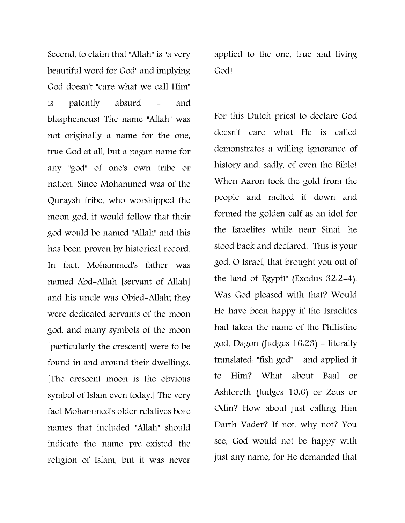Second, to claim that "Allah" is "a very beautiful word for God" and implying God doesn't "care what we call Him" is patently absurd - and blasphemous! The name "Allah" was not originally a name for the one, true God at all, but a pagan name for any "god" of one's own tribe or nation. Since Mohammed was of the Quraysh tribe, who worshipped the moon god, it would follow that their god would be named "Allah" and this has been proven by historical record. In fact, Mohammed's father was named Abd-Allah [servant of Allah] and his uncle was Obied-Allah; they were dedicated servants of the moon god, and many symbols of the moon [particularly the crescent] were to be found in and around their dwellings. [The crescent moon is the obvious symbol of Islam even today.] The very fact Mohammed's older relatives bore names that included "Allah" should indicate the name pre-existed the religion of Islam, but it was never

applied to the one, true and living God!

For this Dutch priest to declare God doesn't care what He is called demonstrates a willing ignorance of history and, sadly, of even the Bible! When Aaron took the gold from the people and melted it down and formed the golden calf as an idol for the Israelites while near Sinai, he stood back and declared, "This is your god, O Israel, that brought you out of the land of Egypt!" (Exodus 32:2-4). Was God pleased with that? Would He have been happy if the Israelites had taken the name of the Philistine god, Dagon (Judges 16:23) - literally translated: "fish god" - and applied it to Him? What about Baal or Ashtoreth (Judges 10:6) or Zeus or Odin? How about just calling Him Darth Vader? If not, why not? You see, God would not be happy with just any name, for He demanded that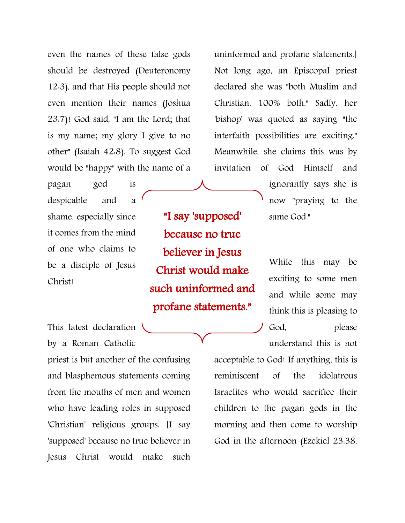even the names of these false gods should be destroyed (Deuteronomy 12:3), and that His people should not even mention their names (Joshua 23:7)! God said, "I am the Lord; that is my name; my glory I give to no other" (Isaiah 42:8). To suggest God would be "happy" with the name of a

pagan god is despicable and a shame, especially since it comes from the mind of one who claims to be a disciple of Jesus Christ!

"I say 'supposed' because no true believer in Jesus Christ would make such uninformed and profane statements."

This latest declaration by a Roman Catholic

priest is but another of the confusing and blasphemous statements coming from the mouths of men and women who have leading roles in supposed 'Christian' religious groups. [I say 'supposed' because no true believer in Jesus Christ would make such

uninformed and profane statements.] Not long ago, an Episcopal priest declared she was "both Muslim and Christian. 100% both." Sadly, her 'bishop' was quoted as saying "the interfaith possibilities are exciting." Meanwhile, she claims this was by invitation of God Himself and

> ignorantly says she is now "praying to the same God."

While this may be exciting to some men and while some may think this is pleasing to God, please understand this is not

acceptable to God! If anything, this is reminiscent of the idolatrous Israelites who would sacrifice their children to the pagan gods in the morning and then come to worship God in the afternoon (Ezekiel 23:38,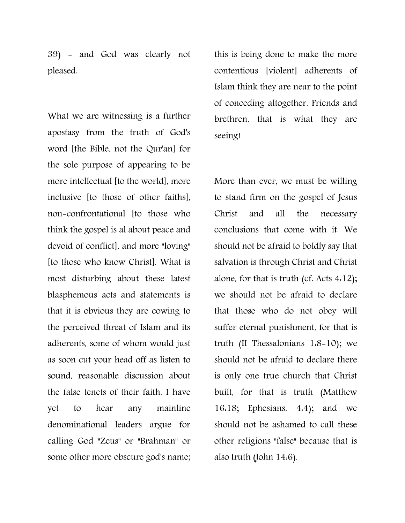39) - and God was clearly not pleased.

What we are witnessing is a further apostasy from the truth of God's word [the Bible, not the Qur'an] for the sole purpose of appearing to be more intellectual [to the world], more inclusive [to those of other faiths], non-confrontational [to those who think the gospel is al about peace and devoid of conflict], and more "loving" [to those who know Christ]. What is most disturbing about these latest blasphemous acts and statements is that it is obvious they are cowing to the perceived threat of Islam and its adherents, some of whom would just as soon cut your head off as listen to sound, reasonable discussion about the false tenets of their faith. I have yet to hear any mainline denominational leaders argue for calling God "Zeus" or "Brahman" or some other more obscure god's name; this is being done to make the more contentious [violent] adherents of Islam think they are near to the point of conceding altogether. Friends and brethren, that is what they are seeing!

More than ever, we must be willing to stand firm on the gospel of Jesus Christ and all the necessary conclusions that come with it. We should not be afraid to boldly say that salvation is through Christ and Christ alone, for that is truth (cf. Acts 4:12); we should not be afraid to declare that those who do not obey will suffer eternal punishment, for that is truth (II Thessalonians 1:8-10); we should not be afraid to declare there is only one true church that Christ built, for that is truth (Matthew 16:18; Ephesians. 4:4); and we should not be ashamed to call these other religions "false" because that is also truth (John 14:6).